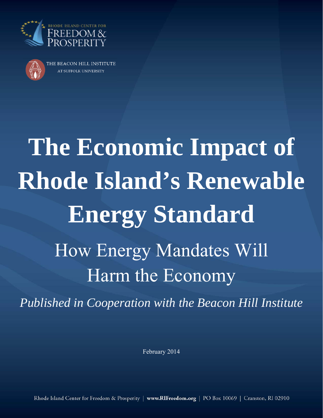



HE BEACON HILL INSTITUTE AT SUFFOLK UNIVERSITY

# **The Economic Impact of Rhode Island's Renewable Energy Standard**  How Energy Mandates Will Harm the Economy

*Published in Cooperation with the Beacon Hill Institute* 

February 2014

Rhode Island Center for Freedom & Prosperity | www.RIFreedom.org | PO Box 10069 | Cranston, RI 02910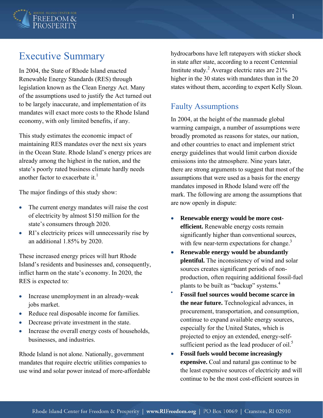

# Executive Summary

In 2004, the State of Rhode Island enacted Renewable Energy Standards (RES) through legislation known as the Clean Energy Act. Many of the assumptions used to justify the Act turned out to be largely inaccurate, and implementation of its mandates will exact more costs to the Rhode Island economy, with only limited benefits, if any.

This study estimates the economic impact of maintaining RES mandates over the next six years in the Ocean State. Rhode Island's energy prices are already among the highest in the nation, and the state's poorly rated business climate hardly needs another factor to exacerbate it.<sup>1</sup>

The major findings of this study show:

- The current energy mandates will raise the cost of electricity by almost \$150 million for the state's consumers through 2020.
- RI's electricity prices will unnecessarily rise by an additional 1.85% by 2020.

These increased energy prices will hurt Rhode Island's residents and businesses and, consequently, inflict harm on the state's economy. In 2020, the RES is expected to:

- Increase unemployment in an already-weak jobs market.
- Reduce real disposable income for families.
- Decrease private investment in the state.
- Increase the overall energy costs of households, businesses, and industries.

Rhode Island is not alone. Nationally, government mandates that require electric utilities companies to use wind and solar power instead of more-affordable hydrocarbons have left ratepayers with sticker shock in state after state, according to a recent Centennial Institute study.<sup>2</sup> Average electric rates are  $21\%$ higher in the 30 states with mandates than in the 20 states without them, according to expert Kelly Sloan.

## Faulty Assumptions

In 2004, at the height of the manmade global warming campaign, a number of assumptions were broadly promoted as reasons for states, our nation, and other countries to enact and implement strict energy guidelines that would limit carbon dioxide emissions into the atmosphere. Nine years later, there are strong arguments to suggest that most of the assumptions that were used as a basis for the energy mandates imposed in Rhode Island were off the mark. The following are among the assumptions that are now openly in dispute:

- **Renewable energy would be more costefficient.** Renewable energy costs remain significantly higher than conventional sources, with few near-term expectations for change.<sup>3</sup>
- **Renewable energy would be abundantly plentiful.** The inconsistency of wind and solar sources creates significant periods of nonproduction, often requiring additional fossil-fuel plants to be built as "backup" systems.<sup>4</sup>
- **Fossil fuel sources would become scarce in the near future.** Technological advances, in procurement, transportation, and consumption, continue to expand available energy sources, especially for the United States, which is projected to enjoy an extended, energy-selfsufficient period as the lead producer of oil.<sup>5</sup>
- **Fossil fuels would become increasingly expensive.** Coal and natural gas continue to be the least expensive sources of electricity and will continue to be the most cost-efficient sources in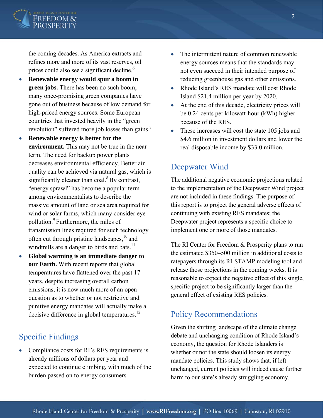

the coming decades. As America extracts and refines more and more of its vast reserves, oil prices could also see a significant decline.<sup>6</sup>

- **Renewable energy would spur a boom in green jobs.** There has been no such boom; many once-promising green companies have gone out of business because of low demand for high-priced energy sources. Some European countries that invested heavily in the "green revolution" suffered more job losses than gains.<sup>7</sup>
- Renewable energy is better for the **environment.** This may not be true in the near term. The need for backup power plants decreases environmental efficiency. Better air quality can be achieved via natural gas, which is significantly cleaner than coal.<sup>8</sup> By contrast, "energy sprawl" has become a popular term among environmentalists to describe the massive amount of land or sea area required for wind or solar farms, which many consider eye pollution.9 Furthermore, the miles of transmission lines required for such technology often cut through pristine landscapes,  $^{10}$  and windmills are a danger to birds and bats. $11$
- **Global warming is an immediate danger to our Earth.** With recent reports that global temperatures have flattened over the past 17 years, despite increasing overall carbon emissions, it is now much more of an open question as to whether or not restrictive and punitive energy mandates will actually make a decisive difference in global temperatures. $^{12}$

## Specific Findings

 Compliance costs for RI's RES requirements is already millions of dollars per year and expected to continue climbing, with much of the burden passed on to energy consumers.

- The intermittent nature of common renewable energy sources means that the standards may not even succeed in their intended purpose of reducing greenhouse gas and other emissions.
- Rhode Island's RES mandate will cost Rhode Island \$21.4 million per year by 2020.
- At the end of this decade, electricity prices will be 0.24 cents per kilowatt-hour (kWh) higher because of the RES.
- These increases will cost the state 105 jobs and \$4.6 million in investment dollars and lower the real disposable income by \$33.0 million.

## Deepwater Wind

The additional negative economic projections related to the implementation of the Deepwater Wind project are not included in these findings. The purpose of this report is to project the general adverse effects of continuing with existing RES mandates; the Deepwater project represents a specific choice to implement one or more of those mandates.

The RI Center for Freedom & Prosperity plans to run the estimated \$350–500 million in additional costs to ratepayers through its RI-STAMP modeling tool and release those projections in the coming weeks. It is reasonable to expect the negative effect of this single, specific project to be significantly larger than the general effect of existing RES policies.

## Policy Recommendations

Given the shifting landscape of the climate change debate and unchanging condition of Rhode Island's economy, the question for Rhode Islanders is whether or not the state should loosen its energy mandate policies. This study shows that, if left unchanged, current policies will indeed cause further harm to our state's already struggling economy.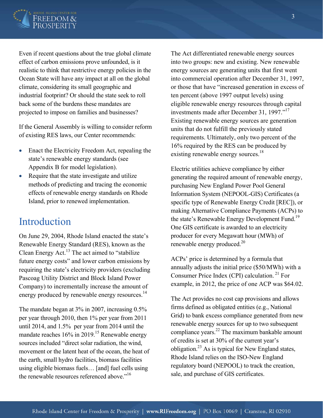

Even if recent questions about the true global climate effect of carbon emissions prove unfounded, is it realistic to think that restrictive energy policies in the Ocean State will have any impact at all on the global climate, considering its small geographic and industrial footprint? Or should the state seek to roll back some of the burdens these mandates are projected to impose on families and businesses?

If the General Assembly is willing to consider reform of existing RES laws, our Center recommends:

- Enact the Electricity Freedom Act, repealing the state's renewable energy standards (see Appendix B for model legislation).
- Require that the state investigate and utilize methods of predicting and tracing the economic effects of renewable energy standards on Rhode Island, prior to renewed implementation.

# Introduction

On June 29, 2004, Rhode Island enacted the state's Renewable Energy Standard (RES), known as the Clean Energy Act.<sup>13</sup> The act aimed to "stabilize" future energy costs" and lower carbon emissions by requiring the state's electricity providers (excluding Pascoag Utility District and Block Island Power Company) to incrementally increase the amount of energy produced by renewable energy resources.<sup>14</sup>

The mandate began at 3% in 2007, increasing 0.5% per year through 2010, then 1% per year from 2011 until 2014, and 1.5% per year from 2014 until the mandate reaches  $16\%$  in 2019.<sup>15</sup> Renewable energy sources included "direct solar radiation, the wind, movement or the latent heat of the ocean, the heat of the earth, small hydro facilities, biomass facilities using eligible biomass fuels… [and] fuel cells using the renewable resources referenced above."<sup>16</sup>

The Act differentiated renewable energy sources into two groups: new and existing. New renewable energy sources are generating units that first went into commercial operation after December 31, 1997, or those that have "increased generation in excess of ten percent (above 1997 output levels) using eligible renewable energy resources through capital investments made after December 31, 1997."<sup>17</sup> Existing renewable energy sources are generation units that do not fulfill the previously stated requirements. Ultimately, only two percent of the 16% required by the RES can be produced by existing renewable energy sources.<sup>18</sup>

Electric utilities achieve compliance by either generating the required amount of renewable energy, purchasing New England Power Pool General Information System (NEPOOL-GIS) Certificates (a specific type of Renewable Energy Credit [REC]), or making Alternative Compliance Payments (ACPs) to the state's Renewable Energy Development Fund.<sup>19</sup> One GIS certificate is awarded to an electricity producer for every Megawatt hour (MWh) of renewable energy produced. $^{20}$ 

ACPs' price is determined by a formula that annually adjusts the initial price (\$50/MWh) with a Consumer Price Index (CPI) calculation. 21 For example, in 2012, the price of one ACP was \$64.02.

The Act provides no cost cap provisions and allows firms defined as obligated entities (e.g., National Grid) to bank excess compliance generated from new renewable energy sources for up to two subsequent compliance years.22 The maximum bankable amount of credits is set at 30% of the current year's obligation.<sup>23</sup> As is typical for New England states, Rhode Island relies on the ISO-New England regulatory board (NEPOOL) to track the creation, sale, and purchase of GIS certificates.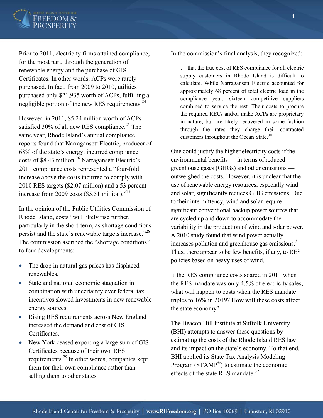

Prior to 2011, electricity firms attained compliance, for the most part, through the generation of renewable energy and the purchase of GIS Certificates. In other words, ACPs were rarely purchased. In fact, from 2009 to 2010, utilities purchased only \$21,935 worth of ACPs, fulfilling a negligible portion of the new RES requirements.<sup>24</sup>

However, in 2011, \$5.24 million worth of ACPs satisfied 30% of all new RES compliance.<sup>25</sup> The same year, Rhode Island's annual compliance reports found that Narragansett Electric, producer of 68% of the state's energy, incurred compliance costs of \$8.43 million.<sup>26</sup> Narragansett Electric's 2011 compliance costs represented a "four-fold increase above the costs incurred to comply with 2010 RES targets (\$2.07 million) and a 53 percent increase from 2009 costs (\$5.51 million)."27

In the opinion of the Public Utilities Commission of Rhode Island, costs "will likely rise further, particularly in the short-term, as shortage conditions persist and the state's renewable targets increase."28 The commission ascribed the "shortage conditions" to four developments:

- The drop in natural gas prices has displaced renewables.
- State and national economic stagnation in combination with uncertainty over federal tax incentives slowed investments in new renewable energy sources.
- Rising RES requirements across New England increased the demand and cost of GIS Certificates.
- New York ceased exporting a large sum of GIS Certificates because of their own RES requirements.29 In other words, companies kept them for their own compliance rather than selling them to other states.

In the commission's final analysis, they recognized:

… that the true cost of RES compliance for all electric supply customers in Rhode Island is difficult to calculate. While Narragansett Electric accounted for approximately 68 percent of total electric load in the compliance year, sixteen competitive suppliers combined to service the rest. Their costs to procure the required RECs and/or make ACPs are proprietary in nature, but are likely recovered in some fashion through the rates they charge their contracted customers throughout the Ocean State.<sup>30</sup>

One could justify the higher electricity costs if the environmental benefits — in terms of reduced greenhouse gases (GHGs) and other emissions outweighed the costs. However, it is unclear that the use of renewable energy resources, especially wind and solar, significantly reduces GHG emissions. Due to their intermittency, wind and solar require significant conventional backup power sources that are cycled up and down to accommodate the variability in the production of wind and solar power. A 2010 study found that wind power actually increases pollution and greenhouse gas emissions.<sup>31</sup> Thus, there appear to be few benefits, if any, to RES policies based on heavy uses of wind.

If the RES compliance costs soared in 2011 when the RES mandate was only 4.5% of electricity sales, what will happen to costs when the RES mandate triples to 16% in 2019? How will these costs affect the state economy?

The Beacon Hill Institute at Suffolk University (BHI) attempts to answer these questions by estimating the costs of the Rhode Island RES law and its impact on the state's economy. To that end, BHI applied its State Tax Analysis Modeling Program (STAMP®) to estimate the economic effects of the state RES mandate.<sup>32</sup>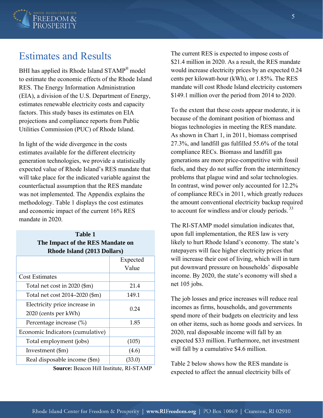

# Estimates and Results

BHI has applied its Rhode Island STAMP® model to estimate the economic effects of the Rhode Island RES. The Energy Information Administration (EIA), a division of the U.S. Department of Energy, estimates renewable electricity costs and capacity factors. This study bases its estimates on EIA projections and compliance reports from Public Utilities Commission (PUC) of Rhode Island.

In light of the wide divergence in the costs estimates available for the different electricity generation technologies, we provide a statistically expected value of Rhode Island's RES mandate that will take place for the indicated variable against the counterfactual assumption that the RES mandate was not implemented. The Appendix explains the methodology. Table 1 displays the cost estimates and economic impact of the current 16% RES mandate in 2020.

| <b>Table 1</b><br>The Impact of the RES Mandate on |          |  |  |
|----------------------------------------------------|----------|--|--|
| <b>Rhode Island (2013 Dollars)</b>                 |          |  |  |
|                                                    | Expected |  |  |
|                                                    | Value    |  |  |
| <b>Cost Estimates</b>                              |          |  |  |
| Total net cost in $2020$ (\$m)                     | 21.4     |  |  |
| Total net cost 2014–2020 (\$m)                     | 149.1    |  |  |
| Electricity price increase in                      | 0.24     |  |  |
| 2020 (cents per kWh)                               |          |  |  |
| Percentage increase (%)                            | 1.85     |  |  |
| Economic Indicators (cumulative)                   |          |  |  |
| Total employment (jobs)                            | (105)    |  |  |
| Investment (\$m)                                   | (4.6)    |  |  |
| Real disposable income (\$m)                       | (33.0)   |  |  |
| Source: Beacon Hill Institute, RI-STAMP            |          |  |  |

The current RES is expected to impose costs of \$21.4 million in 2020. As a result, the RES mandate would increase electricity prices by an expected 0.24 cents per kilowatt-hour (kWh), or 1.85%. The RES mandate will cost Rhode Island electricity customers \$149.1 million over the period from 2014 to 2020.

To the extent that these costs appear moderate, it is because of the dominant position of biomass and biogas technologies in meeting the RES mandate. As shown in Chart 1, in 2011, biomass comprised 27.3%, and landfill gas fulfilled 55.6% of the total compliance RECs. Biomass and landfill gas generations are more price-competitive with fossil fuels, and they do not suffer from the intermittency problems that plague wind and solar technologies. In contrast, wind power only accounted for 12.2% of compliance RECs in 2011, which greatly reduces the amount conventional electricity backup required to account for windless and/or cloudy periods.  $33$ 

The RI-STAMP model simulation indicates that, upon full implementation, the RES law is very likely to hurt Rhode Island's economy. The state's ratepayers will face higher electricity prices that will increase their cost of living, which will in turn put downward pressure on households' disposable income. By 2020, the state's economy will shed a net 105 jobs.

The job losses and price increases will reduce real incomes as firms, households, and governments spend more of their budgets on electricity and less on other items, such as home goods and services. In 2020, real disposable income will fall by an expected \$33 million. Furthermore, net investment will fall by a cumulative \$4.6 million.

Table 2 below shows how the RES mandate is expected to affect the annual electricity bills of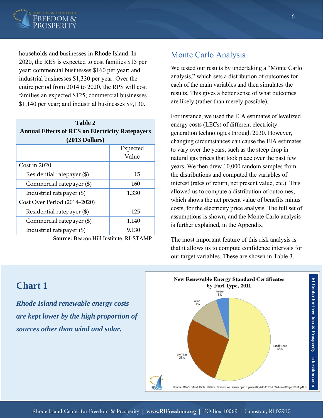

households and businesses in Rhode Island. In 2020, the RES is expected to cost families \$15 per year; commercial businesses \$160 per year; and industrial businesses \$1,330 per year. Over the entire period from 2014 to 2020, the RPS will cost families an expected \$125; commercial businesses \$1,140 per year; and industrial businesses \$9,130.

| Table 2                                                |                                                  |  |  |
|--------------------------------------------------------|--------------------------------------------------|--|--|
| <b>Annual Effects of RES on Electricity Ratepayers</b> |                                                  |  |  |
| $(2013$ Dollars)                                       |                                                  |  |  |
|                                                        | Expected                                         |  |  |
|                                                        | Value                                            |  |  |
| Cost in 2020                                           |                                                  |  |  |
| Residential ratepayer (\$)                             | 15                                               |  |  |
| Commercial ratepayer (\$)                              | 160                                              |  |  |
| Industrial ratepayer $(\$)$                            | 1,330                                            |  |  |
| Cost Over Period (2014–2020)                           |                                                  |  |  |
| Residential ratepayer (\$)                             | 125                                              |  |  |
| Commercial ratepayer (\$)                              | 1,140                                            |  |  |
| Industrial ratepayer (\$)                              | 9,130                                            |  |  |
|                                                        | $\mathbf{r}$ . $\mathbf{r}$<br><b>DI 000 LID</b> |  |  |

**Source:** Beacon Hill Institute, RI-STAMP

## Monte Carlo Analysis

We tested our results by undertaking a "Monte Carlo analysis," which sets a distribution of outcomes for each of the main variables and then simulates the results. This gives a better sense of what outcomes are likely (rather than merely possible).

For instance, we used the EIA estimates of levelized energy costs (LECs) of different electricity generation technologies through 2030. However, changing circumstances can cause the EIA estimates to vary over the years, such as the steep drop in natural gas prices that took place over the past few years. We then drew 10,000 random samples from the distributions and computed the variables of interest (rates of return, net present value, etc.). This allowed us to compute a distribution of outcomes, which shows the net present value of benefits minus costs, for the electricity price analysis. The full set of assumptions is shown, and the Monte Carlo analysis is further explained, in the Appendix.

The most important feature of this risk analysis is that it allows us to compute confidence intervals for our target variables. These are shown in Table 3.

# **Chart 1**

*Rhode Island renewable energy costs are kept lower by the high proportion of sources other than wind and solar.*

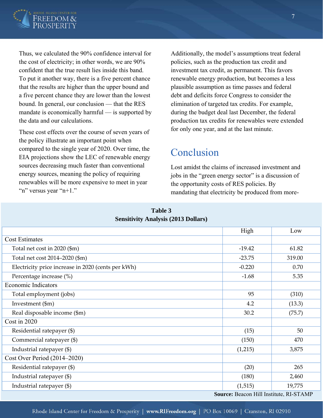

Thus, we calculated the 90% confidence interval for the cost of electricity; in other words, we are 90% confident that the true result lies inside this band. To put it another way, there is a five percent chance that the results are higher than the upper bound and a five percent chance they are lower than the lowest bound. In general, our conclusion — that the RES mandate is economically harmful — is supported by the data and our calculations.

These cost effects over the course of seven years of the policy illustrate an important point when compared to the single year of 2020. Over time, the EIA projections show the LEC of renewable energy sources decreasing much faster than conventional energy sources, meaning the policy of requiring renewables will be more expensive to meet in year "n" versus year "n+1."

Additionally, the model's assumptions treat federal policies, such as the production tax credit and investment tax credit, as permanent. This favors renewable energy production, but becomes a less plausible assumption as time passes and federal debt and deficits force Congress to consider the elimination of targeted tax credits. For example, during the budget deal last December, the federal production tax credits for renewables were extended for only one year, and at the last minute.

# Conclusion

Lost amidst the claims of increased investment and jobs in the "green energy sector" is a discussion of the opportunity costs of RES policies. By mandating that electricity be produced from more-

|                                                    | High     | Low    |
|----------------------------------------------------|----------|--------|
| <b>Cost Estimates</b>                              |          |        |
| Total net cost in 2020 (\$m)                       | $-19.42$ | 61.82  |
| Total net cost 2014-2020 (\$m)                     | $-23.75$ | 319.00 |
| Electricity price increase in 2020 (cents per kWh) | $-0.220$ | 0.70   |
| Percentage increase (%)                            | $-1.68$  | 5.35   |
| <b>Economic Indicators</b>                         |          |        |
| Total employment (jobs)                            | 95       | (310)  |
| Investment (\$m)                                   | 4.2      | (13.3) |
| Real disposable income (\$m)                       | 30.2     | (75.7) |
| Cost in 2020                                       |          |        |
| Residential ratepayer (\$)                         | (15)     | 50     |
| Commercial ratepayer (\$)                          | (150)    | 470    |
| Industrial ratepayer (\$)                          | (1,215)  | 3,875  |
| Cost Over Period (2014–2020)                       |          |        |
| Residential ratepayer (\$)                         | (20)     | 265    |
| Industrial ratepayer (\$)                          | (180)    | 2,460  |
| Industrial ratepayer (\$)                          | (1, 515) | 19,775 |
| <b>Source: Beacon Hill Institute, RI-STAMP</b>     |          |        |

#### **Table 3 Sensitivity Analysis (2013 Dollars)**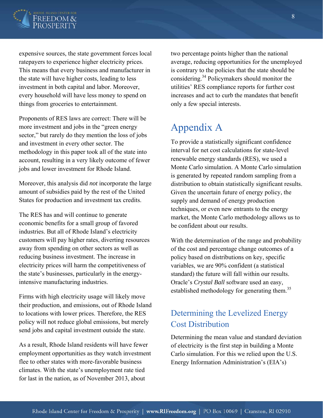

expensive sources, the state government forces local ratepayers to experience higher electricity prices. This means that every business and manufacturer in the state will have higher costs, leading to less investment in both capital and labor. Moreover, every household will have less money to spend on things from groceries to entertainment.

Proponents of RES laws are correct: There will be more investment and jobs in the "green energy sector," but rarely do they mention the loss of jobs and investment in every other sector. The methodology in this paper took all of the state into account, resulting in a very likely outcome of fewer jobs and lower investment for Rhode Island.

Moreover, this analysis did *not* incorporate the large amount of subsidies paid by the rest of the United States for production and investment tax credits.

The RES has and will continue to generate economic benefits for a small group of favored industries. But all of Rhode Island's electricity customers will pay higher rates, diverting resources away from spending on other sectors as well as reducing business investment. The increase in electricity prices will harm the competitiveness of the state's businesses, particularly in the energyintensive manufacturing industries.

Firms with high electricity usage will likely move their production, and emissions, out of Rhode Island to locations with lower prices. Therefore, the RES policy will not reduce global emissions, but merely send jobs and capital investment outside the state.

As a result, Rhode Island residents will have fewer employment opportunities as they watch investment flee to other states with more-favorable business climates. With the state's unemployment rate tied for last in the nation, as of November 2013, about

two percentage points higher than the national average, reducing opportunities for the unemployed is contrary to the policies that the state should be considering.34 Policymakers should monitor the utilities' RES compliance reports for further cost increases and act to curb the mandates that benefit only a few special interests.

# Appendix A

To provide a statistically significant confidence interval for net cost calculations for state-level renewable energy standards (RES), we used a Monte Carlo simulation. A Monte Carlo simulation is generated by repeated random sampling from a distribution to obtain statistically significant results. Given the uncertain future of energy policy, the supply and demand of energy production techniques, or even new entrants to the energy market, the Monte Carlo methodology allows us to be confident about our results.

With the determination of the range and probability of the cost and percentage change outcomes of a policy based on distributions on key, specific variables, we are 90% confident (a statistical standard) the future will fall within our results. Oracle's *Crystal Ball* software used an easy, established methodology for generating them.<sup>35</sup>

# Determining the Levelized Energy Cost Distribution

Determining the mean value and standard deviation of electricity is the first step in building a Monte Carlo simulation. For this we relied upon the U.S. Energy Information Administration's (EIA's)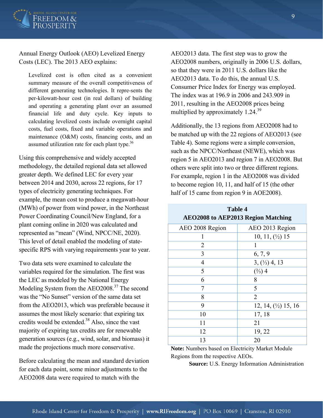

Annual Energy Outlook (AEO) Levelized Energy Costs (LEC). The 2013 AEO explains:

Levelized cost is often cited as a convenient summary measure of the overall competitiveness of different generating technologies. It repre-sents the per-kilowatt-hour cost (in real dollars) of building and operating a generating plant over an assumed financial life and duty cycle. Key inputs to calculating levelized costs include overnight capital costs, fuel costs, fixed and variable operations and maintenance (O&M) costs, financing costs, and an assumed utilization rate for each plant type.<sup>36</sup>

Using this comprehensive and widely accepted methodology, the detailed regional data set allowed greater depth. We defined LEC for every year between 2014 and 2030, across 22 regions, for 17 types of electricity generating techniques. For example, the mean cost to produce a megawatt-hour (MWh) of power from wind power, in the Northeast Power Coordinating Council/New England, for a plant coming online in 2020 was calculated and represented as "mean" (Wind, NPCC/NE, 2020). This level of detail enabled the modeling of statespecific RPS with varying requirements year to year.

Two data sets were examined to calculate the variables required for the simulation. The first was the LEC as modeled by the National Energy Modeling System from the AEO2008.<sup>37</sup> The second was the "No Sunset" version of the same data set from the AEO2013, which was preferable because it assumes the most likely scenario: that expiring tax credits would be extended.<sup>38</sup> Also, since the vast majority of expiring tax credits are for renewable generation sources (e.g., wind, solar, and biomass) it made the projections much more conservative.

Before calculating the mean and standard deviation for each data point, some minor adjustments to the AEO2008 data were required to match with the

AEO2013 data. The first step was to grow the AEO2008 numbers, originally in 2006 U.S. dollars, so that they were in 2011 U.S. dollars like the AEO2013 data. To do this, the annual U.S. Consumer Price Index for Energy was employed. The index was at 196.9 in 2006 and 243.909 in 2011, resulting in the AEO2008 prices being multiplied by approximately 1.24.<sup>39</sup>

Additionally, the 13 regions from AEO2008 had to be matched up with the 22 regions of AEO2013 (see Table 4). Some regions were a simple conversion, such as the NPCC/Northeast (NEWE), which was region 5 in AEO2013 and region 7 in AEO2008. But others were split into two or three different regions. For example, region 1 in the AEO2008 was divided to become region 10, 11, and half of 15 (the other half of 15 came from region 9 in AOE2008).

**Table 4** 

| <b>AEO2008 to AEP2013 Region Matching</b> |                                       |  |
|-------------------------------------------|---------------------------------------|--|
| AEO 2008 Region                           | AEO 2013 Region                       |  |
|                                           | 10, 11, $\left(\frac{1}{2}\right)$ 15 |  |
| 2                                         |                                       |  |
| 3                                         | 6, 7, 9                               |  |
| 4                                         | $3, (1/3)$ 4, 13                      |  |
| 5                                         | $(\frac{2}{3})$ 4                     |  |
| 6                                         | 8                                     |  |
| 7                                         | 5                                     |  |
| 8                                         | $\overline{2}$                        |  |
| 9                                         | 12, 14, (1/2) 15, 16                  |  |
| 10                                        | 17, 18                                |  |
| 11                                        | 21                                    |  |
| 12                                        | 19, 22                                |  |
| 13                                        | 20                                    |  |

**Note:** Numbers based on Electricity Market Module Regions from the respective AEOs.

**Source:** U.S. Energy Information Administration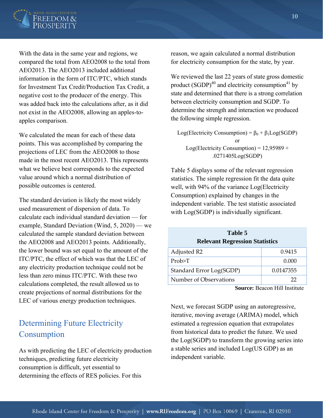

With the data in the same year and regions, we compared the total from AEO2008 to the total from AEO2013. The AEO2013 included additional information in the form of ITC/PTC, which stands for Investment Tax Credit/Production Tax Credit, a negative cost to the producer of the energy. This was added back into the calculations after, as it did not exist in the AEO2008, allowing an apples-toapples comparison.

We calculated the mean for each of these data points. This was accomplished by comparing the projections of LEC from the AEO2008 to those made in the most recent AEO2013. This represents what we believe best corresponds to the expected value around which a normal distribution of possible outcomes is centered.

The standard deviation is likely the most widely used measurement of dispersion of data. To calculate each individual standard deviation — for example, Standard Deviation (Wind, 5, 2020) — we calculated the sample standard deviation between the AEO2008 and AEO2013 points. Additionally, the lower bound was set equal to the amount of the ITC/PTC, the effect of which was that the LEC of any electricity production technique could not be less than zero minus ITC/PTC. With these two calculations completed, the result allowed us to create projections of normal distributions for the LEC of various energy production techniques.

## Determining Future Electricity Consumption

As with predicting the LEC of electricity production techniques, predicting future electricity consumption is difficult, yet essential to determining the effects of RES policies. For this

reason, we again calculated a normal distribution for electricity consumption for the state, by year.

We reviewed the last 22 years of state gross domestic product  $(SGDP)^{40}$  and electricity consumption<sup>41</sup> by state and determined that there is a strong correlation between electricity consumption and SGDP. To determine the strength and interaction we produced the following simple regression.

Log(Electricity Consumption) =  $\beta_0 + \beta_1 Log(SGDP)$ or Log(Electricity Consumption) =  $12,95989 +$ .0271405Log(SGDP)

Table 5 displays some of the relevant regression statistics. The simple regression fit the data quite well, with 94% of the variance Log(Electricity Consumption) explained by changes in the independent variable. The test statistic associated with Log(SGDP) is individually significant.

#### **Table 5 Relevant Regression Statistics**

| Adjusted R2              | 0.9415    |
|--------------------------|-----------|
| Prob > T                 | 0.000     |
| Standard Error Log(SGDP) | 0.0147355 |
| Number of Observations   | רר        |

**Source:** Beacon Hill Institute

Next, we forecast SGDP using an autoregressive, iterative, moving average (ARIMA) model, which estimated a regression equation that extrapolates from historical data to predict the future. We used the Log(SGDP) to transform the growing series into a stable series and included Log(US GDP) as an independent variable.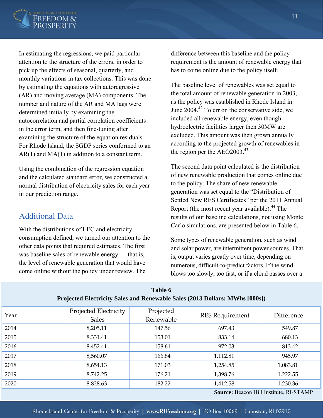

In estimating the regressions, we paid particular attention to the structure of the errors, in order to pick up the effects of seasonal, quarterly, and monthly variations in tax collections. This was done by estimating the equations with autoregressive (AR) and moving average (MA) components. The number and nature of the AR and MA lags were determined initially by examining the autocorrelation and partial correlation coefficients in the error term, and then fine-tuning after examining the structure of the equation residuals. For Rhode Island, the SGDP series conformed to an  $AR(1)$  and  $MA(1)$  in addition to a constant term.

Using the combination of the regression equation and the calculated standard error, we constructed a normal distribution of electricity sales for each year in our prediction range.

## Additional Data

With the distributions of LEC and electricity consumption defined, we turned our attention to the other data points that required estimates. The first was baseline sales of renewable energy — that is, the level of renewable generation that would have come online without the policy under review. The

difference between this baseline and the policy requirement is the amount of renewable energy that has to come online due to the policy itself.

The baseline level of renewables was set equal to the total amount of renewable generation in 2003, as the policy was established in Rhode Island in June  $2004.<sup>42</sup>$  To err on the conservative side, we included all renewable energy, even though hydroelectric facilities larger then 30MW are excluded. This amount was then grown annually according to the projected growth of renewables in the region per the  $AEO2003<sup>43</sup>$ 

The second data point calculated is the distribution of new renewable production that comes online due to the policy. The share of new renewable generation was set equal to the "Distribution of Settled New RES Certificates" per the 2011 Annual Report (the most recent year available).<sup>44</sup> The results of our baseline calculations, not using Monte Carlo simulations, are presented below in Table 6.

Some types of renewable generation, such as wind and solar power, are intermittent power sources. That is, output varies greatly over time, depending on numerous, difficult-to-predict factors. If the wind blows too slowly, too fast, or if a cloud passes over a

| Year | Projected Electricity | Projected | <b>RES</b> Requirement | Difference                             |
|------|-----------------------|-----------|------------------------|----------------------------------------|
|      | <b>Sales</b>          | Renewable |                        |                                        |
| 2014 | 8,205.11              | 147.56    | 697.43                 | 549.87                                 |
| 2015 | 8,331.41              | 153.01    | 833.14                 | 680.13                                 |
| 2016 | 8,452.41              | 158.61    | 972.03                 | 813.42                                 |
| 2017 | 8,560.07              | 166.84    | 1,112.81               | 945.97                                 |
| 2018 | 8,654.13              | 171.03    | 1,254.85               | 1,083.81                               |
| 2019 | 8,742.25              | 176.21    | 1,398.76               | 1,222.55                               |
| 2020 | 8,828.63              | 182.22    | 1,412.58               | 1,230.36                               |
|      |                       |           |                        | Course Desseon Hill Institute DI CTAMP |

| Table 6                                                                     |
|-----------------------------------------------------------------------------|
| Projected Electricity Sales and Renewable Sales (2013 Dollars; MWhs [000s]) |

**Source:** Beacon Hill Institute, RI-STAMP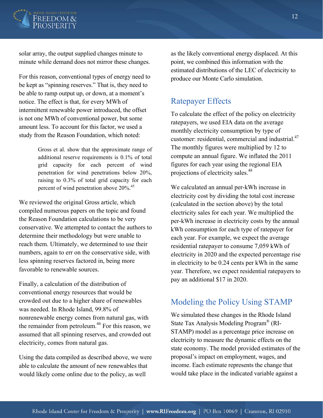

solar array, the output supplied changes minute to minute while demand does not mirror these changes.

For this reason, conventional types of energy need to be kept as "spinning reserves." That is, they need to be able to ramp output up, or down, at a moment's notice. The effect is that, for every MWh of intermittent renewable power introduced, the offset is not one MWh of conventional power, but some amount less. To account for this factor, we used a study from the Reason Foundation, which noted:

> Gross et al. show that the approximate range of additional reserve requirements is 0.1% of total grid capacity for each percent of wind penetration for wind penetrations below 20%, raising to 0.3% of total grid capacity for each percent of wind penetration above 20%.<sup>45</sup>

We reviewed the original Gross article, which compiled numerous papers on the topic and found the Reason Foundation calculations to be very conservative. We attempted to contact the authors to determine their methodology but were unable to reach them. Ultimately, we determined to use their numbers, again to err on the conservative side, with less spinning reserves factored in, being more favorable to renewable sources.

Finally, a calculation of the distribution of conventional energy resources that would be crowded out due to a higher share of renewables was needed. In Rhode Island, 99.8% of nonrenewable energy comes from natural gas, with the remainder from petroleum.<sup>46</sup> For this reason, we assumed that all spinning reserves, and crowded out electricity, comes from natural gas.

Using the data compiled as described above, we were able to calculate the amount of new renewables that would likely come online due to the policy, as well

as the likely conventional energy displaced. At this point, we combined this information with the estimated distributions of the LEC of electricity to produce our Monte Carlo simulation.

## Ratepayer Effects

To calculate the effect of the policy on electricity ratepayers, we used EIA data on the average monthly electricity consumption by type of customer: residential, commercial and industrial.<sup>47</sup> The monthly figures were multiplied by 12 to compute an annual figure. We inflated the 2011 figures for each year using the regional EIA projections of electricity sales.<sup>48</sup>

We calculated an annual per-kWh increase in electricity cost by dividing the total cost increase (calculated in the section above) by the total electricity sales for each year. We multiplied the per-kWh increase in electricity costs by the annual kWh consumption for each type of ratepayer for each year. For example, we expect the average residential ratepayer to consume 7,059 kWh of electricity in 2020 and the expected percentage rise in electricity to be 0.24 cents per kWh in the same year. Therefore, we expect residential ratepayers to pay an additional \$17 in 2020.

## Modeling the Policy Using STAMP

We simulated these changes in the Rhode Island State Tax Analysis Modeling Program® (RI-STAMP) model as a percentage price increase on electricity to measure the dynamic effects on the state economy. The model provided estimates of the proposal's impact on employment, wages, and income. Each estimate represents the change that would take place in the indicated variable against a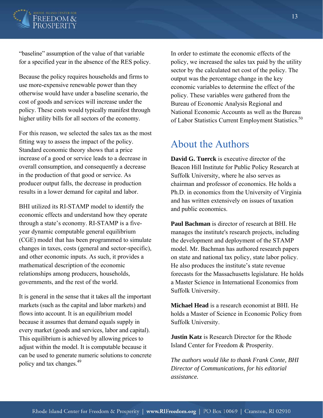

"baseline" assumption of the value of that variable for a specified year in the absence of the RES policy.

Because the policy requires households and firms to use more-expensive renewable power than they otherwise would have under a baseline scenario, the cost of goods and services will increase under the policy. These costs would typically manifest through higher utility bills for all sectors of the economy.

For this reason, we selected the sales tax as the most fitting way to assess the impact of the policy. Standard economic theory shows that a price increase of a good or service leads to a decrease in overall consumption, and consequently a decrease in the production of that good or service. As producer output falls, the decrease in production results in a lower demand for capital and labor.

BHI utilized its RI-STAMP model to identify the economic effects and understand how they operate through a state's economy. RI-STAMP is a fiveyear dynamic computable general equilibrium (CGE) model that has been programmed to simulate changes in taxes, costs (general and sector-specific), and other economic inputs. As such, it provides a mathematical description of the economic relationships among producers, households, governments, and the rest of the world.

It is general in the sense that it takes all the important markets (such as the capital and labor markets) and flows into account. It is an equilibrium model because it assumes that demand equals supply in every market (goods and services, labor and capital). This equilibrium is achieved by allowing prices to adjust within the model. It is computable because it can be used to generate numeric solutions to concrete policy and tax changes.49

In order to estimate the economic effects of the policy, we increased the sales tax paid by the utility sector by the calculated net cost of the policy. The output was the percentage change in the key economic variables to determine the effect of the policy. These variables were gathered from the Bureau of Economic Analysis Regional and National Economic Accounts as well as the Bureau of Labor Statistics Current Employment Statistics.<sup>50</sup>

# About the Authors

**David G. Tuerck** is executive director of the Beacon Hill Institute for Public Policy Research at Suffolk University, where he also serves as chairman and professor of economics. He holds a Ph.D. in economics from the University of Virginia and has written extensively on issues of taxation and public economics.

**Paul Bachman** is director of research at BHI. He manages the institute's research projects, including the development and deployment of the STAMP model. Mr. Bachman has authored research papers on state and national tax policy, state labor policy. He also produces the institute's state revenue forecasts for the Massachusetts legislature. He holds a Master Science in International Economics from Suffolk University.

**Michael Head** is a research economist at BHI. He holds a Master of Science in Economic Policy from Suffolk University.

**Justin Katz** is Research Director for the Rhode Island Center for Freedom & Prosperity.

*The authors would like to thank Frank Conte, BHI Director of Communications, for his editorial assistance.*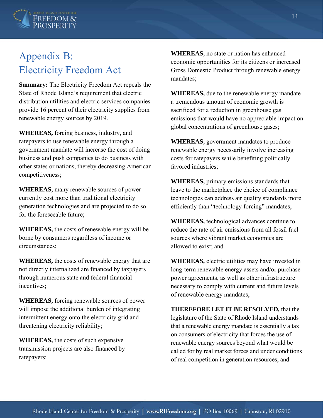

# Appendix B: Electricity Freedom Act

**Summary:** The Electricity Freedom Act repeals the State of Rhode Island's requirement that electric distribution utilities and electric services companies provide 16 percent of their electricity supplies from renewable energy sources by 2019.

**WHEREAS,** forcing business, industry, and ratepayers to use renewable energy through a government mandate will increase the cost of doing business and push companies to do business with other states or nations, thereby decreasing American competitiveness;

**WHEREAS,** many renewable sources of power currently cost more than traditional electricity generation technologies and are projected to do so for the foreseeable future;

**WHEREAS,** the costs of renewable energy will be borne by consumers regardless of income or circumstances;

**WHEREAS,** the costs of renewable energy that are not directly internalized are financed by taxpayers through numerous state and federal financial incentives;

**WHEREAS,** forcing renewable sources of power will impose the additional burden of integrating intermittent energy onto the electricity grid and threatening electricity reliability;

**WHEREAS,** the costs of such expensive transmission projects are also financed by ratepayers;

**WHEREAS,** no state or nation has enhanced economic opportunities for its citizens or increased Gross Domestic Product through renewable energy mandates;

**WHEREAS,** due to the renewable energy mandate a tremendous amount of economic growth is sacrificed for a reduction in greenhouse gas emissions that would have no appreciable impact on global concentrations of greenhouse gases;

**WHEREAS,** government mandates to produce renewable energy necessarily involve increasing costs for ratepayers while benefiting politically favored industries;

**WHEREAS,** primary emissions standards that leave to the marketplace the choice of compliance technologies can address air quality standards more efficiently than "technology forcing" mandates;

**WHEREAS,** technological advances continue to reduce the rate of air emissions from all fossil fuel sources where vibrant market economies are allowed to exist; and

**WHEREAS,** electric utilities may have invested in long-term renewable energy assets and/or purchase power agreements, as well as other infrastructure necessary to comply with current and future levels of renewable energy mandates;

**THEREFORE LET IT BE RESOLVED,** that the legislature of the State of Rhode Island understands that a renewable energy mandate is essentially a tax on consumers of electricity that forces the use of renewable energy sources beyond what would be called for by real market forces and under conditions of real competition in generation resources; and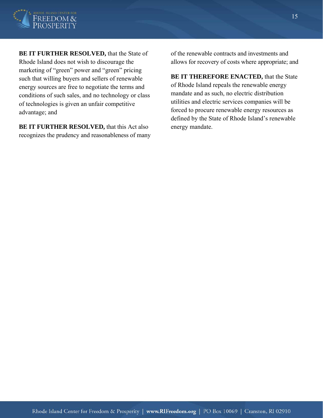

**BE IT FURTHER RESOLVED,** that the State of Rhode Island does not wish to discourage the marketing of "green" power and "green" pricing such that willing buyers and sellers of renewable energy sources are free to negotiate the terms and conditions of such sales, and no technology or class of technologies is given an unfair competitive advantage; and

**BE IT FURTHER RESOLVED,** that this Act also recognizes the prudency and reasonableness of many of the renewable contracts and investments and allows for recovery of costs where appropriate; and

**BE IT THEREFORE ENACTED,** that the State of Rhode Island repeals the renewable energy mandate and as such, no electric distribution utilities and electric services companies will be forced to procure renewable energy resources as defined by the State of Rhode Island's renewable energy mandate.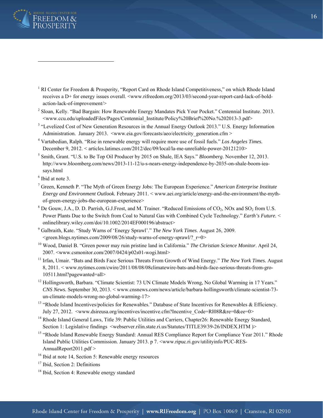

 $\overline{a}$ 

- <sup>1</sup> RI Center for Freedom & Prosperity, "Report Card on Rhode Island Competitiveness," on which Rhode Island receives a D+ for energy issues overall. <www.rifreedom.org/2013/03/second-year-report-card-lack-of-boldaction-lack-of-improvement/>
- <sup>2</sup> Sloan, Kelly. "Bad Bargain: How Renewable Energy Mandates Pick Your Pocket." Centennial Institute. 2013. <www.ccu.edu/uploadedFiles/Pages/Centennial\_Institute/Policy%20Brief%20No.%202013-3.pdf>
- <sup>3</sup> "Levelized Cost of New Generation Resources in the Annual Energy Outlook 2013." U.S. Energy Information Administration. January 2013. <www.eia.gov/forecasts/aeo/electricity\_generation.cfm >
- 4 Vartabedian, Ralph. "Rise in renewable energy will require more use of fossil fuels." *Los Angeles Times.* December 9, 2012. < articles.latimes.com/2012/dec/09/local/la-me-unreliable-power-20121210>
- 5 Smith, Grant. "U.S. to Be Top Oil Producer by 2015 on Shale, IEA Says." *Bloomberg*. November 12, 2013. http://www.bloomberg.com/news/2013-11-12/u-s-nears-energy-independence-by-2035-on-shale-boom-ieasays.html
- <sup>6</sup> Ibid at note 3.
- 7 Green, Kenneth P. "The Myth of Green Energy Jobs: The European Experience." *American Enterprise Institute Energy and Environment Outlook.* February 2011. < www.aei.org/article/energy-and-the-environment/the-mythof-green-energy-jobs-the-european-experience>
- $8$  De Gouw, J.A., D. D. Parrish, G.J.Frost, and M. Trainer. "Reduced Emissions of CO<sub>2</sub>, NOx and SO<sub>2</sub> from U.S. Power Plants Due to the Switch from Coal to Natural Gas with Combined Cycle Technology." *Earth's Future.* < onlinelibrary.wiley.com/doi/10.1002/2014EF000196/abstract>
- 9 Galbraith, Kate. "Study Warns of 'Energy Sprawl'." *The New York Times*. August 26, 2009. <green.blogs.nytimes.com/2009/08/26/study-warns-of-energy-sprawl/?\_r=0>
- 10 Wood, Daniel B. "Green power may ruin pristine land in California." *The Christian Science Monitor*. April 24, 2007. <www.csmonitor.com/2007/0424/p02s01-wogi.html>
- <sup>11</sup> Irfan, Umair. "Bats and Birds Face Serious Threats From Growth of Wind Energy." *The New York Times*. August 8, 2011. < www.nytimes.com/cwire/2011/08/08/08climatewire-bats-and-birds-face-serious-threats-from-gro-10511.html?pagewanted=all>
- <sup>12</sup> Hollingsworth, Barbara. "Climate Scientist: 73 UN Climate Models Wrong, No Global Warming in 17 Years." *CNS News.* September 30, 2013. < www.cnsnews.com/news/article/barbara-hollingsworth/climate-scientist-73 un-climate-models-wrong-no-global-warming-17>
- <sup>13</sup> "Rhode Island Incentives/policies for Renewables." Database of State Incentives for Renewables & Efficiency. July 27, 2012. <www.dsireusa.org/incentives/incentive.cfm?Incentive\_Code=RI08R&re=0&ee=0>
- <sup>14</sup> Rhode Island General Laws, Title 39: Public Utilities and Carriers, Chapter26: Renewable Energy Standard, Section 1: Legislative findings <webserver.rilin.state.ri.us/Statutes/TITLE39/39-26/INDEX.HTM )>
- <sup>15</sup> "Rhode Island Renewable Energy Standard: Annual RES Compliance Report for Compliance Year 2011." Rhode Island Public Utilities Commission. January 2013. p 7. <www.ripuc.ri.gov/utilityinfo/PUC-RES-AnnualReport2011.pdf >
- <sup>16</sup> Ibid at note 14, Section 5: Renewable energy resources
- <sup>17</sup> Ibid, Section 2: Definitions
- <sup>18</sup> Ibid, Section 4: Renewable energy standard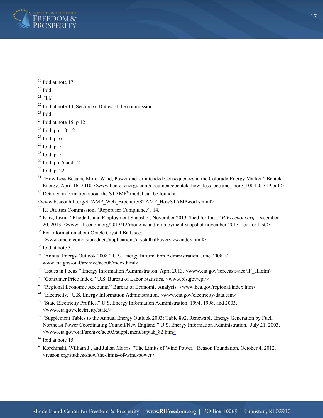

- $19$  Ibid at note 17
- $20$  Ibid

 $\overline{a}$ 

- $21$  Ibid
- $22$  Ibid at note 14, Section 6: Duties of the commission
- $23$  Ibid
- $24$  Ibid at note 15, p 12
- $25$  Ibid, pp.  $10-12$
- $26$  Ibid, p. 6
- $27$  Ibid, p. 5
- $28$  Ibid, p. 5
- $29$  Ibid, pp. 5 and 12
- 30 Ibid, p. 22
- <sup>31</sup> "How Less Became More: Wind, Power and Unintended Consequences in the Colorado Energy Market." Bentek Energy. April 16, 2010. <www.bentekenergy.com/documents/bentek\_how\_less\_became\_more\_100420-319.pdf >
- <sup>32</sup> Detailed information about the STAMP<sup>®</sup> model can be found at
- <www.beaconhill.org/STAMP\_Web\_Brochure/STAMP\_HowSTAMPworks.html>
- 33 RI Utilities Commission, "Report for Compliance", 14.
- 34 Katz, Justin. "Rhode Island Employment Snapshot, November 2013: Tied for Last." *RIFreedom.org.* December 20, 2013. <www.rifreedom.org/2013/12/rhode-island-employment-snapshot-november-2013-tied-for-last/>
- <sup>35</sup> For information about Oracle Crystal Ball, see: <www.oracle.com/us/products/applications/crystalball/overview/index.html>
- 36 Ibid at note 3.
- 37 "Annual Energy Outlook 2008." U.S. Energy Information Administration. June 2008. < www.eia.gov/oiaf/archive/aeo08/index.html>
- <sup>38</sup> "Issues in Focus." Energy Information Administration. April 2013. <www.eia.gov/forecasts/aeo/IF\_all.cfm>
- <sup>39</sup> "Consumer Price Index." U.S. Bureau of Labor Statistics. <www.bls.gov/cpi/>
- <sup>40</sup> "Regional Economic Accounts." Bureau of Economic Analysis. <www.bea.gov/regional/index.htm>
- <sup>41</sup> "Electricity." U.S. Energy Information Administration. <www.eia.gov/electricity/data.cfm>
- <sup>42</sup> "State Electricity Profiles." U.S. Energy Information Administration. 1994, 1998, and 2003. <www.eia.gov/electricity/state/>
- 43 "Supplement Tables to the Annual Energy Outlook 2003: Table 892. Renewable Energy Generation by Fuel, Northeast Power Coordinating Council/New England." U.S. Energy Information Administration. July 21, 2003. <www.eia.gov/oiaf/archive/aeo03/supplement/suptab\_82.htm>
- <sup>44</sup> Ibid at note 15.
- 45 Korchinski, William J., and Julian Morris. "The Limits of Wind Power." Reason Foundation. October 4, 2012. <reason.org/studies/show/the-limits-of-wind-power>